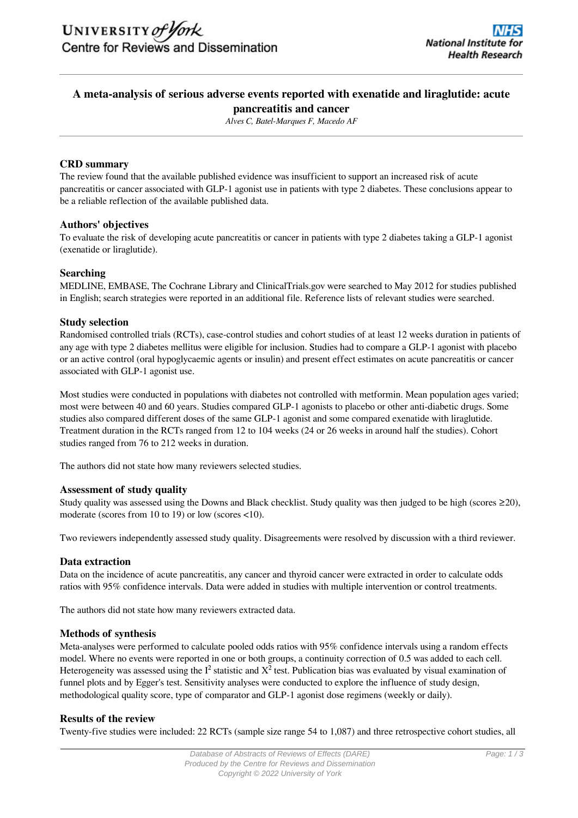# **A meta-analysis of serious adverse events reported with exenatide and liraglutide: acute pancreatitis and cancer**

*Alves C, Batel-Marques F, Macedo AF*

# **CRD summary**

The review found that the available published evidence was insufficient to support an increased risk of acute pancreatitis or cancer associated with GLP-1 agonist use in patients with type 2 diabetes. These conclusions appear to be a reliable reflection of the available published data.

# **Authors' objectives**

To evaluate the risk of developing acute pancreatitis or cancer in patients with type 2 diabetes taking a GLP-1 agonist (exenatide or liraglutide).

# **Searching**

MEDLINE, EMBASE, The Cochrane Library and ClinicalTrials.gov were searched to May 2012 for studies published in English; search strategies were reported in an additional file. Reference lists of relevant studies were searched.

# **Study selection**

Randomised controlled trials (RCTs), case-control studies and cohort studies of at least 12 weeks duration in patients of any age with type 2 diabetes mellitus were eligible for inclusion. Studies had to compare a GLP-1 agonist with placebo or an active control (oral hypoglycaemic agents or insulin) and present effect estimates on acute pancreatitis or cancer associated with GLP-1 agonist use.

Most studies were conducted in populations with diabetes not controlled with metformin. Mean population ages varied; most were between 40 and 60 years. Studies compared GLP-1 agonists to placebo or other anti-diabetic drugs. Some studies also compared different doses of the same GLP-1 agonist and some compared exenatide with liraglutide. Treatment duration in the RCTs ranged from 12 to 104 weeks (24 or 26 weeks in around half the studies). Cohort studies ranged from 76 to 212 weeks in duration.

The authors did not state how many reviewers selected studies.

# **Assessment of study quality**

Study quality was assessed using the Downs and Black checklist. Study quality was then judged to be high (scores  $\geq 20$ ), moderate (scores from 10 to 19) or low (scores <10).

Two reviewers independently assessed study quality. Disagreements were resolved by discussion with a third reviewer.

# **Data extraction**

Data on the incidence of acute pancreatitis, any cancer and thyroid cancer were extracted in order to calculate odds ratios with 95% confidence intervals. Data were added in studies with multiple intervention or control treatments.

The authors did not state how many reviewers extracted data.

# **Methods of synthesis**

Meta-analyses were performed to calculate pooled odds ratios with 95% confidence intervals using a random effects model. Where no events were reported in one or both groups, a continuity correction of 0.5 was added to each cell. Heterogeneity was assessed using the  $I^2$  statistic and  $X^2$  test. Publication bias was evaluated by visual examination of funnel plots and by Egger's test. Sensitivity analyses were conducted to explore the influence of study design, methodological quality score, type of comparator and GLP-1 agonist dose regimens (weekly or daily).

# **Results of the review**

Twenty-five studies were included: 22 RCTs (sample size range 54 to 1,087) and three retrospective cohort studies, all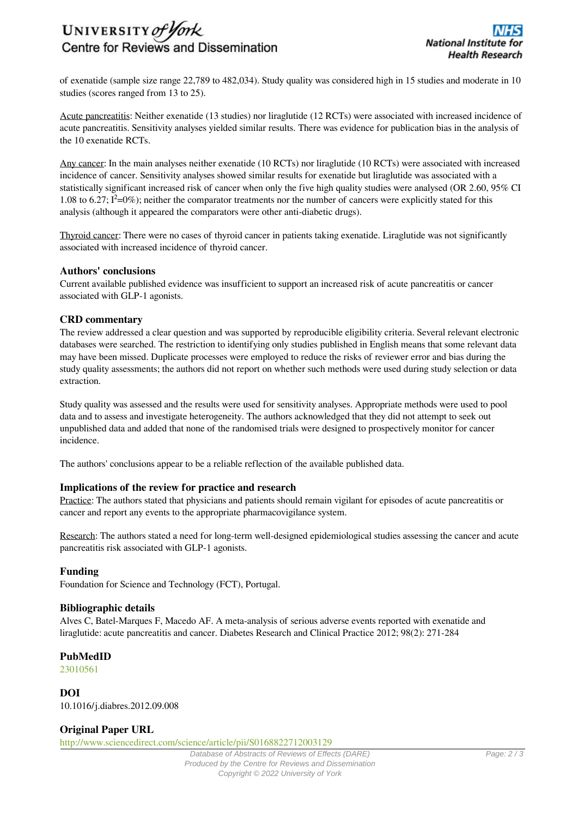# UNIVERSITY of York Centre for Reviews and Dissemination

of exenatide (sample size range 22,789 to 482,034). Study quality was considered high in 15 studies and moderate in 10 studies (scores ranged from 13 to 25).

Acute pancreatitis: Neither exenatide (13 studies) nor liraglutide (12 RCTs) were associated with increased incidence of acute pancreatitis. Sensitivity analyses yielded similar results. There was evidence for publication bias in the analysis of the 10 exenatide RCTs.

Any cancer: In the main analyses neither exenatide (10 RCTs) nor liraglutide (10 RCTs) were associated with increased incidence of cancer. Sensitivity analyses showed similar results for exenatide but liraglutide was associated with a statistically significant increased risk of cancer when only the five high quality studies were analysed (OR 2.60, 95% CI 1.08 to 6.27;  $I^2=0\%$ ; neither the comparator treatments nor the number of cancers were explicitly stated for this analysis (although it appeared the comparators were other anti-diabetic drugs).

Thyroid cancer: There were no cases of thyroid cancer in patients taking exenatide. Liraglutide was not significantly associated with increased incidence of thyroid cancer.

# **Authors' conclusions**

Current available published evidence was insufficient to support an increased risk of acute pancreatitis or cancer associated with GLP-1 agonists.

# **CRD commentary**

The review addressed a clear question and was supported by reproducible eligibility criteria. Several relevant electronic databases were searched. The restriction to identifying only studies published in English means that some relevant data may have been missed. Duplicate processes were employed to reduce the risks of reviewer error and bias during the study quality assessments; the authors did not report on whether such methods were used during study selection or data extraction.

Study quality was assessed and the results were used for sensitivity analyses. Appropriate methods were used to pool data and to assess and investigate heterogeneity. The authors acknowledged that they did not attempt to seek out unpublished data and added that none of the randomised trials were designed to prospectively monitor for cancer incidence.

The authors' conclusions appear to be a reliable reflection of the available published data.

# **Implications of the review for practice and research**

Practice: The authors stated that physicians and patients should remain vigilant for episodes of acute pancreatitis or cancer and report any events to the appropriate pharmacovigilance system.

Research: The authors stated a need for long-term well-designed epidemiological studies assessing the cancer and acute pancreatitis risk associated with GLP-1 agonists.

# **Funding**

Foundation for Science and Technology (FCT), Portugal.

# **Bibliographic details**

Alves C, Batel-Marques F, Macedo AF. A meta-analysis of serious adverse events reported with exenatide and liraglutide: acute pancreatitis and cancer. Diabetes Research and Clinical Practice 2012; 98(2): 271-284

# **PubMedID**

[23010561](http://www.ncbi.nlm.nih.gov/pubmed?term=23010561)

**DOI** 10.1016/j.diabres.2012.09.008

# **Original Paper URL**

http://www.sciencedirect.com/science/article/pii/S0168822712003129